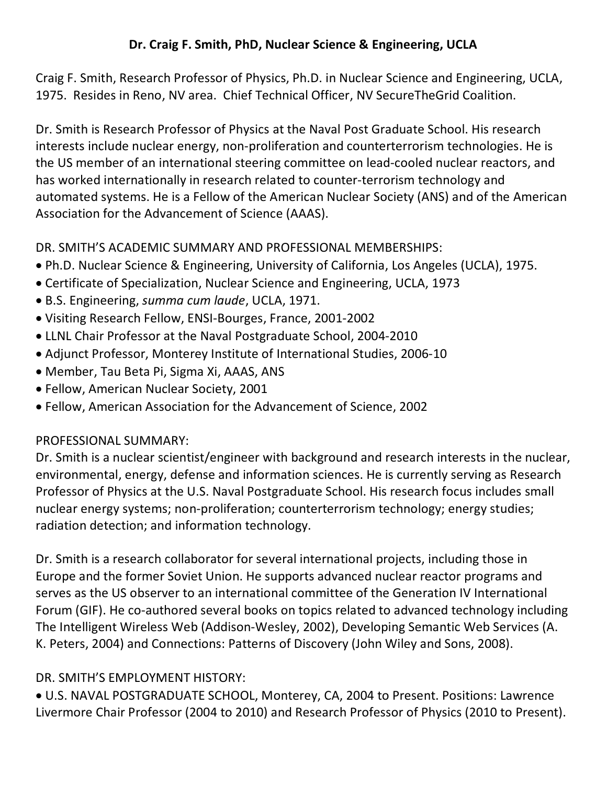#### **Dr. Craig F. Smith, PhD, Nuclear Science & Engineering, UCLA**

Craig F. Smith, Research Professor of Physics, Ph.D. in Nuclear Science and Engineering, UCLA, 1975. Resides in Reno, NV area. Chief Technical Officer, NV SecureTheGrid Coalition.

Dr. Smith is Research Professor of Physics at the Naval Post Graduate School. His research interests include nuclear energy, non-proliferation and counterterrorism technologies. He is the US member of an international steering committee on lead-cooled nuclear reactors, and has worked internationally in research related to counter-terrorism technology and automated systems. He is a Fellow of the American Nuclear Society (ANS) and of the American Association for the Advancement of Science (AAAS).

#### DR. SMITH'S ACADEMIC SUMMARY AND PROFESSIONAL MEMBERSHIPS:

- Ph.D. Nuclear Science & Engineering, University of California, Los Angeles (UCLA), 1975.
- Certificate of Specialization, Nuclear Science and Engineering, UCLA, 1973
- B.S. Engineering, *summa cum laude*, UCLA, 1971.
- Visiting Research Fellow, ENSI-Bourges, France, 2001-2002
- LLNL Chair Professor at the Naval Postgraduate School, 2004-2010
- Adjunct Professor, Monterey Institute of International Studies, 2006-10
- Member, Tau Beta Pi, Sigma Xi, AAAS, ANS
- Fellow, American Nuclear Society, 2001
- Fellow, American Association for the Advancement of Science, 2002

#### PROFESSIONAL SUMMARY:

Dr. Smith is a nuclear scientist/engineer with background and research interests in the nuclear, environmental, energy, defense and information sciences. He is currently serving as Research Professor of Physics at the U.S. Naval Postgraduate School. His research focus includes small nuclear energy systems; non-proliferation; counterterrorism technology; energy studies; radiation detection; and information technology.

Dr. Smith is a research collaborator for several international projects, including those in Europe and the former Soviet Union. He supports advanced nuclear reactor programs and serves as the US observer to an international committee of the Generation IV International Forum (GIF). He co-authored several books on topics related to advanced technology including The Intelligent Wireless Web (Addison-Wesley, 2002), Developing Semantic Web Services (A. K. Peters, 2004) and Connections: Patterns of Discovery (John Wiley and Sons, 2008).

### DR. SMITH'S EMPLOYMENT HISTORY:

 U.S. NAVAL POSTGRADUATE SCHOOL, Monterey, CA, 2004 to Present. Positions: Lawrence Livermore Chair Professor (2004 to 2010) and Research Professor of Physics (2010 to Present).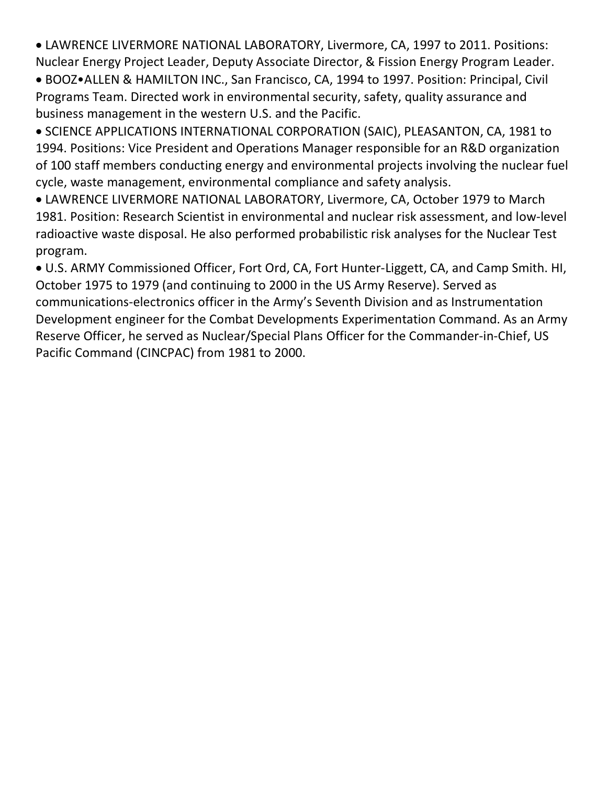LAWRENCE LIVERMORE NATIONAL LABORATORY, Livermore, CA, 1997 to 2011. Positions: Nuclear Energy Project Leader, Deputy Associate Director, & Fission Energy Program Leader.

 BOOZ•ALLEN & HAMILTON INC., San Francisco, CA, 1994 to 1997. Position: Principal, Civil Programs Team. Directed work in environmental security, safety, quality assurance and business management in the western U.S. and the Pacific.

 SCIENCE APPLICATIONS INTERNATIONAL CORPORATION (SAIC), PLEASANTON, CA, 1981 to 1994. Positions: Vice President and Operations Manager responsible for an R&D organization of 100 staff members conducting energy and environmental projects involving the nuclear fuel cycle, waste management, environmental compliance and safety analysis.

 LAWRENCE LIVERMORE NATIONAL LABORATORY, Livermore, CA, October 1979 to March 1981. Position: Research Scientist in environmental and nuclear risk assessment, and low-level radioactive waste disposal. He also performed probabilistic risk analyses for the Nuclear Test program.

 U.S. ARMY Commissioned Officer, Fort Ord, CA, Fort Hunter-Liggett, CA, and Camp Smith. HI, October 1975 to 1979 (and continuing to 2000 in the US Army Reserve). Served as communications-electronics officer in the Army's Seventh Division and as Instrumentation Development engineer for the Combat Developments Experimentation Command. As an Army Reserve Officer, he served as Nuclear/Special Plans Officer for the Commander-in-Chief, US Pacific Command (CINCPAC) from 1981 to 2000.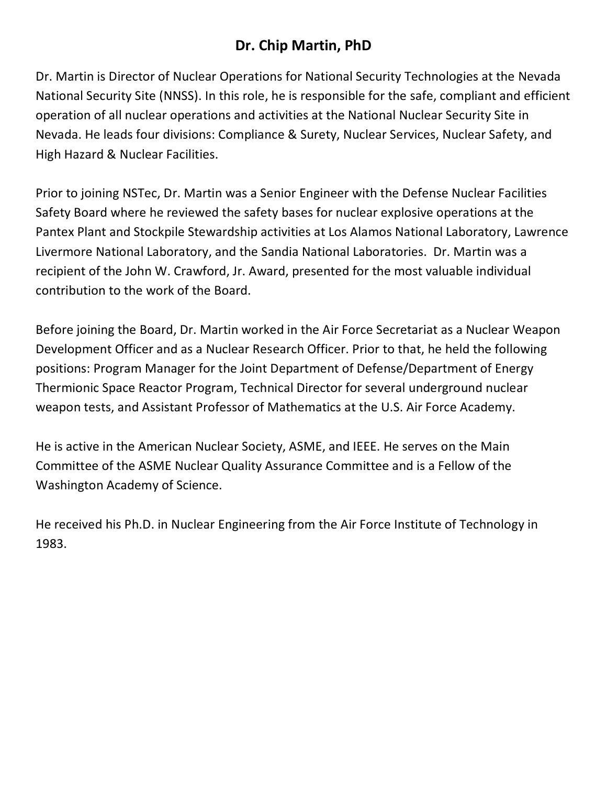## **Dr. Chip Martin, PhD**

Dr. Martin is Director of Nuclear Operations for National Security Technologies at the Nevada National Security Site (NNSS). In this role, he is responsible for the safe, compliant and efficient operation of all nuclear operations and activities at the National Nuclear Security Site in Nevada. He leads four divisions: Compliance & Surety, Nuclear Services, Nuclear Safety, and High Hazard & Nuclear Facilities.

Prior to joining NSTec, Dr. Martin was a Senior Engineer with the Defense Nuclear Facilities Safety Board where he reviewed the safety bases for nuclear explosive operations at the Pantex Plant and Stockpile Stewardship activities at Los Alamos National Laboratory, Lawrence Livermore National Laboratory, and the Sandia National Laboratories. Dr. Martin was a recipient of the John W. Crawford, Jr. Award, presented for the most valuable individual contribution to the work of the Board.

Before joining the Board, Dr. Martin worked in the Air Force Secretariat as a Nuclear Weapon Development Officer and as a Nuclear Research Officer. Prior to that, he held the following positions: Program Manager for the Joint Department of Defense/Department of Energy Thermionic Space Reactor Program, Technical Director for several underground nuclear weapon tests, and Assistant Professor of Mathematics at the U.S. Air Force Academy.

He is active in the American Nuclear Society, ASME, and IEEE. He serves on the Main Committee of the ASME Nuclear Quality Assurance Committee and is a Fellow of the Washington Academy of Science.

He received his Ph.D. in Nuclear Engineering from the Air Force Institute of Technology in 1983.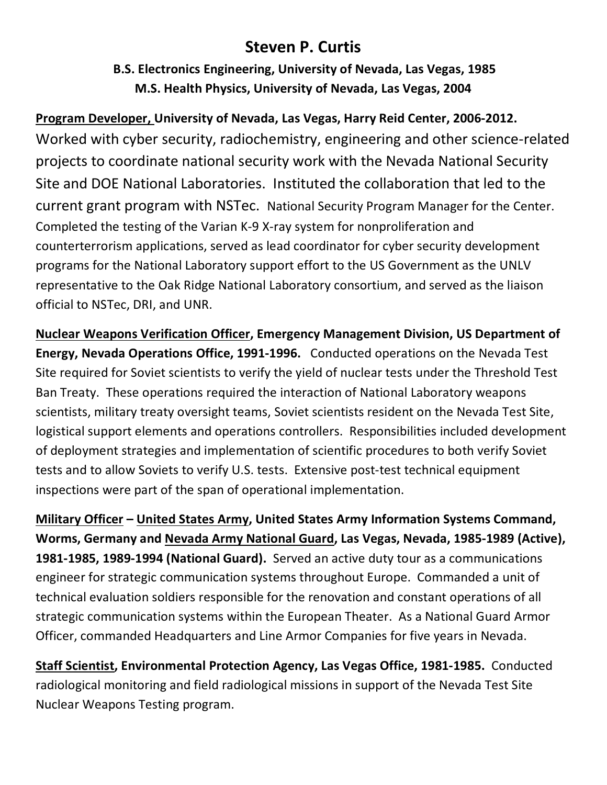## **Steven P. Curtis**

**B.S. Electronics Engineering, University of Nevada, Las Vegas, 1985 M.S. Health Physics, University of Nevada, Las Vegas, 2004**

**Program Developer, University of Nevada, Las Vegas, Harry Reid Center, 2006-2012.** Worked with cyber security, radiochemistry, engineering and other science-related projects to coordinate national security work with the Nevada National Security Site and DOE National Laboratories. Instituted the collaboration that led to the current grant program with NSTec. National Security Program Manager for the Center. Completed the testing of the Varian K-9 X-ray system for nonproliferation and counterterrorism applications, served as lead coordinator for cyber security development programs for the National Laboratory support effort to the US Government as the UNLV representative to the Oak Ridge National Laboratory consortium, and served as the liaison official to NSTec, DRI, and UNR.

**Nuclear Weapons Verification Officer, Emergency Management Division, US Department of Energy, Nevada Operations Office, 1991-1996.** Conducted operations on the Nevada Test Site required for Soviet scientists to verify the yield of nuclear tests under the Threshold Test Ban Treaty. These operations required the interaction of National Laboratory weapons scientists, military treaty oversight teams, Soviet scientists resident on the Nevada Test Site, logistical support elements and operations controllers. Responsibilities included development of deployment strategies and implementation of scientific procedures to both verify Soviet tests and to allow Soviets to verify U.S. tests. Extensive post-test technical equipment inspections were part of the span of operational implementation.

**Military Officer – United States Army, United States Army Information Systems Command, Worms, Germany and Nevada Army National Guard, Las Vegas, Nevada, 1985-1989 (Active), 1981-1985, 1989-1994 (National Guard).** Served an active duty tour as a communications engineer for strategic communication systems throughout Europe. Commanded a unit of technical evaluation soldiers responsible for the renovation and constant operations of all strategic communication systems within the European Theater. As a National Guard Armor Officer, commanded Headquarters and Line Armor Companies for five years in Nevada.

**Staff Scientist, Environmental Protection Agency, Las Vegas Office, 1981-1985.** Conducted radiological monitoring and field radiological missions in support of the Nevada Test Site Nuclear Weapons Testing program.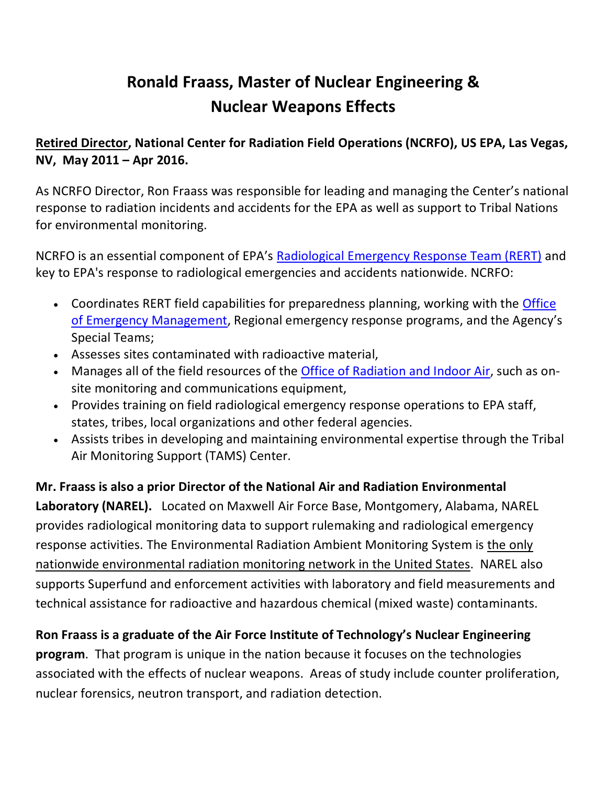# **Ronald Fraass, Master of Nuclear Engineering & Nuclear Weapons Effects**

**Retired Director, National Center for Radiation Field Operations (NCRFO), US EPA, Las Vegas, NV, May 2011 – Apr 2016.**

As NCRFO Director, Ron Fraass was responsible for leading and managing the Center's national response to radiation incidents and accidents for the EPA as well as support to Tribal Nations for environmental monitoring.

NCRFO is an essential component of EPA's Radiological Emergency Response Team (RERT) and key to EPA's response to radiological emergencies and accidents nationwide. NCRFO:

- Coordinates RERT field capabilities for preparedness planning, working with the Office of Emergency Management, Regional emergency response programs, and the Agency's Special Teams;
- Assesses sites contaminated with radioactive material,
- Manages all of the field resources of the Office of Radiation and Indoor Air, such as onsite monitoring and communications equipment,
- Provides training on field radiological emergency response operations to EPA staff, states, tribes, local organizations and other federal agencies.
- Assists tribes in developing and maintaining environmental expertise through the Tribal Air Monitoring Support (TAMS) Center.

# **Mr. Fraass is also a prior Director of the National Air and Radiation Environmental**

**Laboratory (NAREL).** Located on Maxwell Air Force Base, Montgomery, Alabama, NAREL provides radiological monitoring data to support rulemaking and radiological emergency response activities. The Environmental Radiation Ambient Monitoring System is the only nationwide environmental radiation monitoring network in the United States. NAREL also supports Superfund and enforcement activities with laboratory and field measurements and technical assistance for radioactive and hazardous chemical (mixed waste) contaminants.

### **Ron Fraass is a graduate of the Air Force Institute of Technology's Nuclear Engineering**

**program**. That program is unique in the nation because it focuses on the technologies associated with the effects of nuclear weapons. Areas of study include counter proliferation, nuclear forensics, neutron transport, and radiation detection.